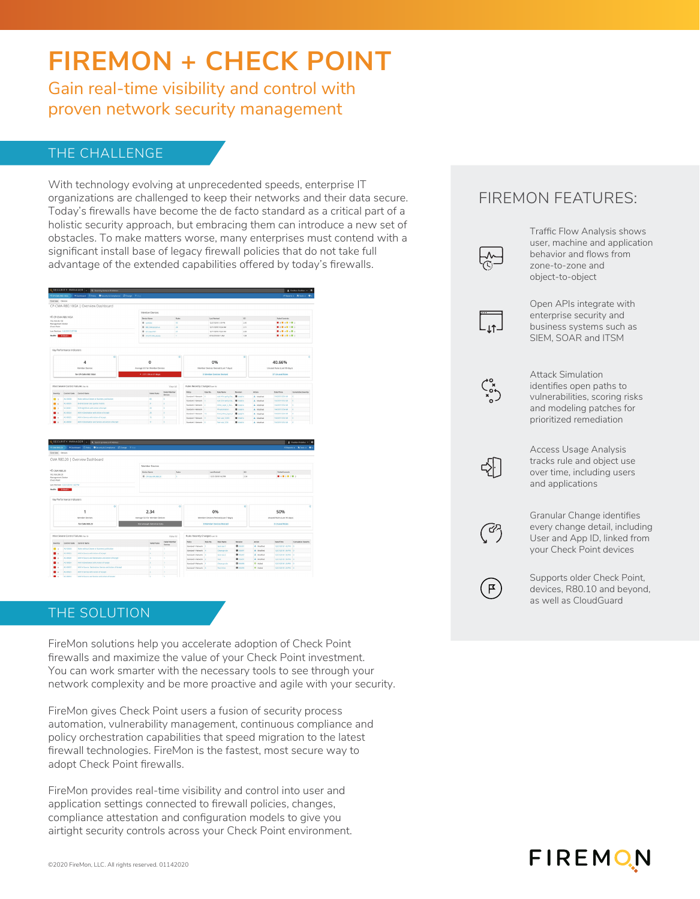# **FIREMON + CHECK POINT**

Gain real-time visibility and control with proven network security management

## THE CHALLENGE

With technology evolving at unprecedented speeds, enterprise IT organizations are challenged to keep their networks and their data secure. Today's firewalls have become the de facto standard as a critical part of a holistic security approach, but embracing them can introduce a new set of obstacles. To make matters worse, many enterprises must contend with a significant install base of legacy firewall policies that do not take full advantage of the extended capabilities offered by today's firewalls.



|                                                                                     |                                     | <b>IN WASHINGTON AND ANNUAL</b>                           |                                    |                               |                                |                                      |                                 |                             |                     |                             | $\blacksquare$ . The property defining $\blacksquare$ $\blacksquare$      |  |
|-------------------------------------------------------------------------------------|-------------------------------------|-----------------------------------------------------------|------------------------------------|-------------------------------|--------------------------------|--------------------------------------|---------------------------------|-----------------------------|---------------------|-----------------------------|---------------------------------------------------------------------------|--|
| <b>GOVERNO D'Altri Otecutra Constante D'Otener Vistoria</b><br><b>PC CMA KR3 20</b> |                                     |                                                           |                                    |                               |                                |                                      |                                 |                             |                     |                             | $\kappa$ reports $\bullet$ . $\mathbf{X}$ from $\bullet$ . $\mathbf{0}$ . |  |
| Overview Devices                                                                    |                                     |                                                           |                                    |                               |                                |                                      |                                 |                             |                     |                             |                                                                           |  |
|                                                                                     |                                     | CMA R80.20   Overview Dashboard                           |                                    |                               |                                |                                      |                                 |                             |                     |                             |                                                                           |  |
|                                                                                     |                                     |                                                           | Member Devices                     |                               |                                |                                      |                                 |                             |                     |                             |                                                                           |  |
| <sup>08</sup> CMA R80.20                                                            |                                     |                                                           | <b>Basica Nome</b><br><b>Bules</b> |                               |                                | Last Basised                         |                                 |                             | Estad Controls      |                             |                                                                           |  |
| 192.168.200.25<br>Management Station                                                |                                     |                                                           |                                    | <b>B</b> Childelin, R628<br>× |                                | 13/21/2018 1:02 PM                   |                                 | sci<br>2.36                 | ■大学大学大学大学           |                             |                                                                           |  |
| Check Point                                                                         |                                     |                                                           |                                    |                               |                                |                                      |                                 |                             |                     |                             |                                                                           |  |
|                                                                                     | Last Reveaux 12/21/2018 1.42 PM     |                                                           |                                    |                               |                                |                                      |                                 |                             |                     |                             |                                                                           |  |
|                                                                                     | Health: Crazad with                 |                                                           |                                    |                               |                                |                                      |                                 |                             |                     |                             |                                                                           |  |
|                                                                                     |                                     |                                                           |                                    |                               |                                |                                      |                                 |                             |                     |                             |                                                                           |  |
|                                                                                     | Key Performance Indicators          |                                                           |                                    |                               |                                |                                      |                                 |                             |                     |                             |                                                                           |  |
|                                                                                     |                                     | $\sigma$                                                  |                                    |                               | $\Omega$                       |                                      |                                 | $\Omega$                    |                     |                             | ā                                                                         |  |
|                                                                                     |                                     |                                                           | 2.34                               |                               |                                | 0%                                   |                                 |                             |                     | 50%                         |                                                                           |  |
|                                                                                     |                                     |                                                           |                                    |                               |                                |                                      |                                 |                             |                     |                             |                                                                           |  |
|                                                                                     |                                     | Member Devices                                            | Average SCI for Member Devices     |                               |                                | Member Devices Revised (Last 7 days) |                                 |                             |                     | Unused Rules (Last 90 days) |                                                                           |  |
| for CMA R80.20                                                                      |                                     |                                                           | Not enough historical data         |                               |                                | <b>O Member Devices Revised</b>      |                                 |                             |                     | 3 Unused Rules              |                                                                           |  |
|                                                                                     |                                     |                                                           |                                    |                               |                                |                                      |                                 |                             |                     |                             |                                                                           |  |
|                                                                                     | Most Severe Control Failures ne ro- |                                                           |                                    | View All                      | Rules Recently Changed car to  |                                      |                                 |                             |                     |                             |                                                                           |  |
|                                                                                     |                                     |                                                           |                                    | Falled Member                 |                                |                                      |                                 |                             |                     | <b>Osta/Time</b>            | Cumulative Seventy                                                        |  |
| Severing                                                                            | Contrat Code                        | Control Name                                              | Falled Rules                       | Devices                       | Policy<br>Standard 1 Historich | Rule No.                             | <b>Rafe Name</b><br>test-suit-1 | Revision<br><b>D</b> assets | Action.<br>A Madded | tagnoste 142 PM 0           |                                                                           |  |
|                                                                                     | ALL-DOODS                           | <b>Bules without Owner or Business Justification</b>      |                                    |                               | Standard-I-Network             |                                      | Cleanup rule                    | <b>Q</b> assent             | A Modified          | 12/21/2015 1:36 PM 0        |                                                                           |  |
|                                                                                     | AC ORDER                            | ARRY in Source with Action of Accept                      | ×                                  |                               | Standard-1-ferono-fc           |                                      | test-nule-2                     | <b>CENTER</b>               | A Madded            | 12/21/2018 1:36 PM 0        |                                                                           |  |
|                                                                                     | AC-00820                            | ARY in Source and Destination and Action of Accept        |                                    |                               | Standard Literande             |                                      | Test.                           | <b>D</b> stores             | A Maddled           | 12/21/2014 1:36 PM 0        |                                                                           |  |
|                                                                                     | AC-00634                            | ARTY Destructor with Action of Accept                     | ×                                  |                               | Standard-F-Network 11          |                                      | Cleanup K/a                     | <b>D</b> 356890             | $0$ AMH             | 12/21/2018 1:36 PM 0        |                                                                           |  |
|                                                                                     | AC-00BDF                            | ANY in Source, Destination, Service and Action of Accept. | ь                                  |                               | Standard Literands 5           |                                      | <b>Seat Indian</b>              | <b>DESIGNER</b>             | $Q$ Added           | 12/21/2014 1:25 PM 0        |                                                                           |  |
|                                                                                     | AC-00925                            | APPET Service with Action of Accept                       | l s                                |                               |                                |                                      |                                 |                             |                     |                             |                                                                           |  |

### THE SOLUTION

FireMon solutions help you accelerate adoption of Check Point firewalls and maximize the value of your Check Point investment. You can work smarter with the necessary tools to see through your network complexity and be more proactive and agile with your security.

FireMon gives Check Point users a fusion of security process automation, vulnerability management, continuous compliance and policy orchestration capabilities that speed migration to the latest firewall technologies. FireMon is the fastest, most secure way to adopt Check Point firewalls.

FireMon provides real-time visibility and control into user and application settings connected to firewall policies, changes, compliance attestation and configuration models to give you airtight security controls across your Check Point environment.

# FIREMON FEATURES: